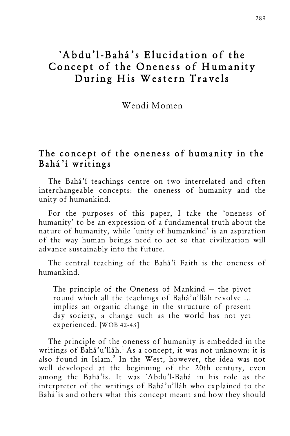# `Abdu'l-Bahá's Elucidation of the Concept of the Oneness of Humanity During His Western Travels

Wendi Momen

## The concept of the oneness of humanity in the Bahá'í writings

The Bahá'í teachings centre on two interrelated and often interchangeable concepts: the oneness of humanity and the unity of humankind.

For the purposes of this paper, I take the 'oneness of humanity' to be an expression of a fundamental truth about the nature of humanity, while `unity of humankind' is an aspiration of the way human beings need to act so that civilization will advance sustainably into the future.

The central teaching of the Bahá'í Faith is the oneness of humankind.

The principle of the Oneness of Mankind — the pivot round which all the teachings of Bahá'u'lláh revolve ... implies an organic change in the structure of present day society, a change such as the world has not yet experienced. [WOB 42-43]

The principle of the oneness of humanity is embedded in the writings of Bahá'u'lláh.<sup>1</sup> As a concept, it was not unknown: it is also found in Islam.<sup>2</sup> In the West, however, the idea was not well developed at the beginning of the 20th century, even among the Bahá'ís. It was `Abdu'l-Bahá in his role as the interpreter of the writings of Bahá'u'lláh who explained to the Bahá'ís and others what this concept meant and how they should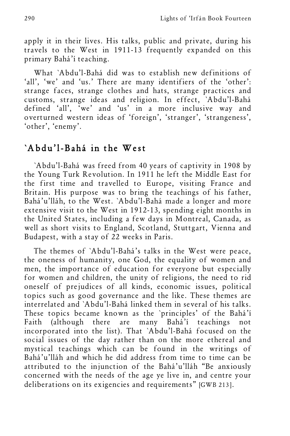apply it in their lives. His talks, public and private, during his travels to the West in 1911-13 frequently expanded on this primary Bahá'í teaching.

What `Abdu'l-Bahá did was to establish new definitions of 'all', 'we' and 'us.' There are many identifiers of the 'other': strange faces, strange clothes and hats, strange practices and customs, strange ideas and religion. In effect, `Abdu'l-Bahá defined 'all', 'we' and 'us' in a more inclusive way and overturned western ideas of 'foreign', 'stranger', 'strangeness', 'other', 'enemy'.

# `Abdu'l-Bahá in the West

`Abdu'l-Bahá was freed from 40 years of captivity in 1908 by the Young Turk Revolution. In 1911 he left the Middle East for the first time and travelled to Europe, visiting France and Britain. His purpose was to bring the teachings of his father, Bahá'u'lláh, to the West. `Abdu'l-Bahá made a longer and more extensive visit to the West in 1912-13, spending eight months in the United States, including a few days in Montreal, Canada, as well as short visits to England, Scotland, Stuttgart, Vienna and Budapest, with a stay of 22 weeks in Paris.

The themes of `Abdu'l-Bahá's talks in the West were peace, the oneness of humanity, one God, the equality of women and men, the importance of education for everyone but especially for women and children, the unity of religions, the need to rid oneself of prejudices of all kinds, economic issues, political topics such as good governance and the like. These themes are interrelated and `Abdu'l-Bahá linked them in several of his talks. These topics became known as the `principles' of the Bahá'í Faith (although there are many Bahá'í teachings not incorporated into the list). That `Abdu'l-Bahá focused on the social issues of the day rather than on the more ethereal and mystical teachings which can be found in the writings of Bahá'u'lláh and which he did address from time to time can be attributed to the injunction of the Bahá'u'lláh "Be anxiously concerned with the needs of the age ye live in, and centre your deliberations on its exigencies and requirements" [GWB 213].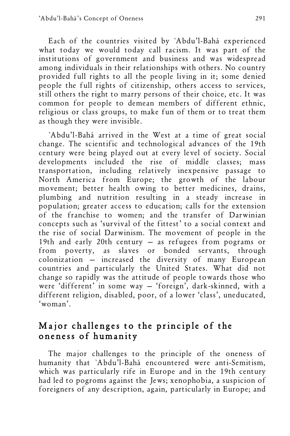Each of the countries visited by `Abdu'l-Bahá experienced what today we would today call racism. It was part of the institutions of government and business and was widespread among individuals in their relationships with others. No country provided full rights to all the people living in it; some denied people the full rights of citizenship, others access to services, still others the right to marry persons of their choice, etc. It was common for people to demean members of different ethnic, religious or class groups, to make fun of them or to treat them as though they were invisible.

`Abdu'l-Bahá arrived in the West at a time of great social change. The scientific and technological advances of the 19th century were being played out at every level of society. Social developments included the rise of middle classes; mass transportation, including relatively inexpensive passage to North America from Europe; the growth of the labour movement; better health owing to better medicines, drains, plumbing and nutrition resulting in a steady increase in population; greater access to education; calls for the extension of the franchise to women; and the transfer of Darwinian concepts such as 'survival of the fittest' to a social context and the rise of social Darwinism. The movement of people in the 19th and early 20th century — as refugees from pograms or from poverty, as slaves or bonded servants, through colonization — increased the diversity of many European countries and particularly the United States. What did not change so rapidly was the attitude of people towards those who were 'different' in some way — 'foreign', dark-skinned, with a different religion, disabled, poor, of a lower 'class', uneducated, 'woman'.

# Major challenges to the principle of the oneness of humanity

The major challenges to the principle of the oneness of humanity that `Abdu'l-Bahá encountered were anti-Semitism, which was particularly rife in Europe and in the 19th century had led to pogroms against the Jews; xenophobia, a suspicion of foreigners of any description, again, particularly in Europe; and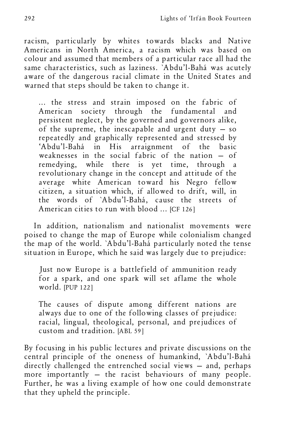racism, particularly by whites towards blacks and Native Americans in North America, a racism which was based on colour and assumed that members of a particular race all had the same characteristics, such as laziness. `Abdu'l-Bahá was acutely aware of the dangerous racial climate in the United States and warned that steps should be taken to change it.

... the stress and strain imposed on the fabric of American society through the fundamental and persistent neglect, by the governed and governors alike, of the supreme, the inescapable and urgent duty — so repeatedly and graphically represented and stressed by 'Abdu'l-Bahá in His arraignment of the basic weaknesses in the social fabric of the nation — of remedying, while there is yet time, through a revolutionary change in the concept and attitude of the average white American toward his Negro fellow citizen, a situation which, if allowed to drift, will, in the words of `Abdu'l-Bahá, cause the streets of American cities to run with blood ... [CF 126]

In addition, nationalism and nationalist movements were poised to change the map of Europe while colonialism changed the map of the world. `Abdu'l-Bahá particularly noted the tense situation in Europe, which he said was largely due to prejudice:

Just now Europe is a battlefield of ammunition ready for a spark, and one spark will set aflame the whole world. [PUP 122]

The causes of dispute among different nations are always due to one of the following classes of prejudice: racial, lingual, theological, personal, and prejudices of custom and tradition. [ABL 59]

By focusing in his public lectures and private discussions on the central principle of the oneness of humankind, `Abdu'l-Bahá directly challenged the entrenched social views - and, perhaps more importantly — the racist behaviours of many people. Further, he was a living example of how one could demonstrate that they upheld the principle.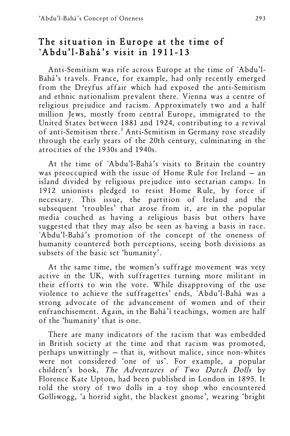# The situation in Europe at the time of `Abdu'l-Bahá's visit in 1911-13

Anti-Semitism was rife across Europe at the time of `Abdu'l-Bahá's travels. France, for example, had only recently emerged from the Dreyfus affair which had exposed the anti-Semitism and ethnic nationalism prevalent there. Vienna was a centre of religious prejudice and racism. Approximately two and a half million Jews, mostly from central Europe, immigrated to the United States between 1881 and 1924, contributing to a revival of anti-Semitism there.<sup>3</sup> Anti-Semitism in Germany rose steadily through the early years of the 20th century, culminating in the atrocities of the 1930s and 1940s.

At the time of `Abdu'l-Bahá's visits to Britain the country was preoccupied with the issue of Home Rule for Ireland — an island divided by religious prejudice into sectarian camps. In 1912 unionists pledged to resist Home Rule, by force if necessary. This issue, the partition of Ireland and the subsequent 'troubles' that arose from it, are in the popular media couched as having a religious basis but others have suggested that they may also be seen as having a basis in race. `Abdu'l-Bahá's promotion of the concept of the oneness of humanity countered both perceptions, seeing both divisions as subsets of the basic set 'humanity'.

At the same time, the women's suffrage movement was very active in the UK, with suffragettes turning more militant in their efforts to win the vote. While disapproving of the use violence to achieve the suffragettes' ends, `Abdu'l-Bahá was a strong advocate of the advancement of women and of their enfranchisement. Again, in the Bahá'í teachings, women are half of the 'humanity' that is one.

There are many indicators of the racism that was embedded in British society at the time and that racism was promoted, perhaps unwittingly — that is, without malice, since non-whites were not considered 'one of us'. For example, a popular children's book, The Adventures of Two Dutch Dolls by Florence Kate Upton, had been published in London in 1895. It told the story of two dolls in a toy shop who encountered Golliwogg, 'a horrid sight, the blackest gnome', wearing 'bright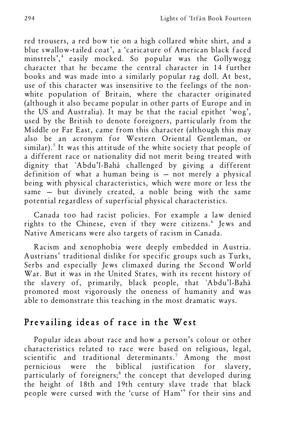red trousers, a red bow tie on a high collared white shirt, and a blue swallow-tailed coat', a 'caricature of American black faced minstrels', <sup>4</sup> easily mocked. So popular was the Gollywogg character that he became the central character in 14 further books and was made into a similarly popular rag doll. At best, use of this character was insensitive to the feelings of the nonwhite population of Britain, where the character originated (although it also became popular in other parts of Europe and in the US and Australia). It may be that the racial epithet 'wog', used by the British to denote foreigners, particularly from the Middle or Far East, came from this character (although this may also be an acronym for Western Oriental Gentleman, or similar).<sup>5</sup> It was this attitude of the white society that people of a different race or nationality did not merit being treated with dignity that `Abdu'l-Bahá challenged by giving a different definition of what a human being is — not merely a physical being with physical characteristics, which were more or less the same — but divinely created, a noble being with the same potential regardless of superficial physical characteristics.

Canada too had racist policies. For example a law denied rights to the Chinese, even if they were citizens.<sup>6</sup> Jews and Native Americans were also targets of racism in Canada.

Racism and xenophobia were deeply embedded in Austria. Austrians' traditional dislike for specific groups such as Turks, Serbs and especially Jews climaxed during the Second World War. But it was in the United States, with its recent history of the slavery of, primarily, black people, that `Abdu'l-Bahá promoted most vigorously the oneness of humanity and was able to demonstrate this teaching in the most dramatic ways.

## Prevailing ideas of race in the West

Popular ideas about race and how a person's colour or other characteristics related to race were based on religious, legal, scientific and traditional determinants.<sup>7</sup> Among the most pernicious were the biblical justification for slavery, particularly of foreigners;<sup>8</sup> the concept that developed during the height of 18th and 19th century slave trade that black people were cursed with the 'curse of Ham' <sup>9</sup> for their sins and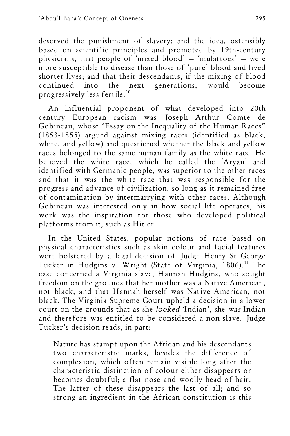deserved the punishment of slavery; and the idea, ostensibly based on scientific principles and promoted by 19th-century physicians, that people of 'mixed blood' — 'mulattoes' — were more susceptible to disease than those of 'pure' blood and lived shorter lives; and that their descendants, if the mixing of blood continued into the next generations, would become the next generations, would become progressively less fertile.10

An influential proponent of what developed into 20th century European racism was Joseph Arthur Comte de Gobineau, whose "Essay on the Inequality of the Human Races" (1853-1855) argued against mixing races (identified as black, white, and yellow) and questioned whether the black and yellow races belonged to the same human family as the white race. He believed the white race, which he called the 'Aryan' and identified with Germanic people, was superior to the other races and that it was the white race that was responsible for the progress and advance of civilization, so long as it remained free of contamination by intermarrying with other races. Although Gobineau was interested only in how social life operates, his work was the inspiration for those who developed political platforms from it, such as Hitler.

In the United States, popular notions of race based on physical characteristics such as skin colour and facial features were bolstered by a legal decision of Judge Henry St George Tucker in Hudgins v. Wright (State of Virginia, 1806).<sup>11</sup> The case concerned a Virginia slave, Hannah Hudgins, who sought freedom on the grounds that her mother was a Native American, not black, and that Hannah herself was Native American, not black. The Virginia Supreme Court upheld a decision in a lower court on the grounds that as she looked 'Indian', she was Indian and therefore was entitled to be considered a non-slave. Judge Tucker's decision reads, in part:

Nature has stampt upon the African and his descendants two characteristic marks, besides the difference of complexion, which often remain visible long after the characteristic distinction of colour either disappears or becomes doubtful; a flat nose and woolly head of hair. The latter of these disappears the last of all; and so strong an ingredient in the African constitution is this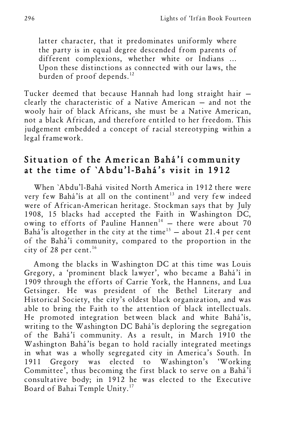latter character, that it predominates uniformly where the party is in equal degree descended from parents of different complexions, whether white or Indians ... Upon these distinctions as connected with our laws, the burden of proof depends.<sup>12</sup>

Tucker deemed that because Hannah had long straight hair clearly the characteristic of a Native American — and not the wooly hair of black Africans, she must be a Native American, not a black African, and therefore entitled to her freedom. This judgement embedded a concept of racial stereotyping within a legal framework.

## Situation of the American Bahá'í community at the time of `Abdu'l-Bahá's visit in 1912

When `Abdu'l-Bahá visited North America in 1912 there were very few Bahá'ís at all on the continent<sup>13</sup> and very few indeed were of African-American heritage. Stockman says that by July 1908, 15 blacks had accepted the Faith in Washington DC, owing to efforts of Pauline Hannen<sup>14</sup> - there were about 70 Bahá'ís altogether in the city at the time<sup>15</sup> - about 21.4 per cent of the Bahá'í community, compared to the proportion in the city of 28 per cent. $16$ 

Among the blacks in Washington DC at this time was Louis Gregory, a 'prominent black lawyer', who became a Bahá'í in 1909 through the efforts of Carrie York, the Hannens, and Lua Getsinger. He was president of the Bethel Literary and Historical Society, the city's oldest black organization, and was able to bring the Faith to the attention of black intellectuals. He promoted integration between black and white Bahá'ís, writing to the Washington DC Bahá'ís deploring the segregation of the Bahá'í community. As a result, in March 1910 the Washington Bahá'ís began to hold racially integrated meetings in what was a wholly segregated city in America's South. In 1911 Gregory was elected to Washington's 'Working Committee', thus becoming the first black to serve on a Bahá'í consultative body; in 1912 he was elected to the Executive Board of Bahai Temple Unity.<sup>17</sup>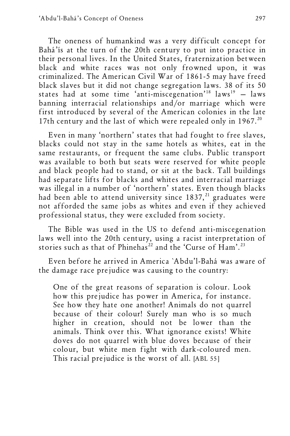The oneness of humankind was a very difficult concept for Bahá'ís at the turn of the 20th century to put into practice in their personal lives. In the United States, fraternization between black and white races was not only frowned upon, it was criminalized. The American Civil War of 1861-5 may have freed black slaves but it did not change segregation laws. 38 of its 50 states had at some time 'anti-miscegenation'<sup>18</sup>  $laws^{19} - laws$ banning interracial relationships and/or marriage which were first introduced by several of the American colonies in the late 17th century and the last of which were repealed only in  $1967$ .<sup>20</sup>

Even in many 'northern' states that had fought to free slaves, blacks could not stay in the same hotels as whites, eat in the same restaurants, or frequent the same clubs. Public transport was available to both but seats were reserved for white people and black people had to stand, or sit at the back. Tall buildings had separate lifts for blacks and whites and interracial marriage was illegal in a number of 'northern' states. Even though blacks had been able to attend university since  $1837$ ,<sup>21</sup> graduates were not afforded the same jobs as whites and even if they achieved professional status, they were excluded from society.

The Bible was used in the US to defend anti-miscegenation laws well into the 20th century, using a racist interpretation of stories such as that of Phinehas<sup>22</sup> and the 'Curse of Ham'.<sup>23</sup>

Even before he arrived in America `Abdu'l-Bahá was aware of the damage race prejudice was causing to the country:

One of the great reasons of separation is colour. Look how this prejudice has power in America, for instance. See how they hate one another! Animals do not quarrel because of their colour! Surely man who is so much higher in creation, should not be lower than the animals. Think over this. What ignorance exists! White doves do not quarrel with blue doves because of their colour, but white men fight with dark-coloured men. This racial prejudice is the worst of all. [ABL 55]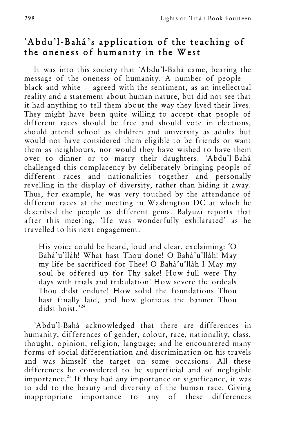## `Abdu'l-Bahá's application of the teaching of the oneness of humanity in the West

It was into this society that `Abdu'l-Bahá came, bearing the message of the oneness of humanity. A number of people black and white — agreed with the sentiment, as an intellectual reality and a statement about human nature, but did not see that it had anything to tell them about the way they lived their lives. They might have been quite willing to accept that people of different races should be free and should vote in elections, should attend school as children and university as adults but would not have considered them eligible to be friends or want them as neighbours, nor would they have wished to have them over to dinner or to marry their daughters. `Abdu'l-Bahá challenged this complacency by deliberately bringing people of different races and nationalities together and personally revelling in the display of diversity, rather than hiding it away. Thus, for example, he was very touched by the attendance of different races at the meeting in Washington DC at which he described the people as different gems. Balyuzi reports that after this meeting, 'He was wonderfully exhilarated' as he travelled to his next engagement.

His voice could be heard, loud and clear, exclaiming: 'O Bahá'u'lláh! What hast Thou done! O Bahá'u'lláh! May my life be sacrificed for Thee! O Bahá'u'lláh I May my soul be offered up for Thy sake! How full were Thy days with trials and tribulation! How severe the ordeals Thou didst endure! How solid the foundations Thou hast finally laid, and how glorious the banner Thou didst hoist.' 24

`Abdu'l-Bahá acknowledged that there are differences in humanity, differences of gender, colour, race, nationality, class, thought, opinion, religion, language; and he encountered many forms of social differentiation and discrimination on his travels and was himself the target on some occasions. All these differences he considered to be superficial and of negligible importance.<sup>25</sup> If they had any importance or significance, it was to add to the beauty and diversity of the human race. Giving inappropriate importance to any of these differences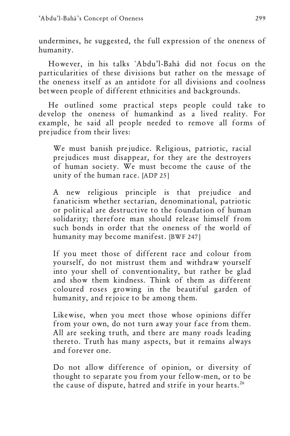undermines, he suggested, the full expression of the oneness of humanity.

However, in his talks `Abdu'l-Bahá did not focus on the particularities of these divisions but rather on the message of the oneness itself as an antidote for all divisions and coolness between people of different ethnicities and backgrounds.

He outlined some practical steps people could take to develop the oneness of humankind as a lived reality. For example, he said all people needed to remove all forms of prejudice from their lives:

We must banish prejudice. Religious, patriotic, racial prejudices must disappear, for they are the destroyers of human society. We must become the cause of the unity of the human race. [ADP 25]

A new religious principle is that prejudice and fanaticism whether sectarian, denominational, patriotic or political are destructive to the foundation of human solidarity; therefore man should release himself from such bonds in order that the oneness of the world of humanity may become manifest. [BWF 247]

If you meet those of different race and colour from yourself, do not mistrust them and withdraw yourself into your shell of conventionality, but rather be glad and show them kindness. Think of them as different coloured roses growing in the beautiful garden of humanity, and rejoice to be among them.

Likewise, when you meet those whose opinions differ from your own, do not turn away your face from them. All are seeking truth, and there are many roads leading thereto. Truth has many aspects, but it remains always and forever one.

Do not allow difference of opinion, or diversity of thought to separate you from your fellow-men, or to be the cause of dispute, hatred and strife in your hearts.<sup>26</sup>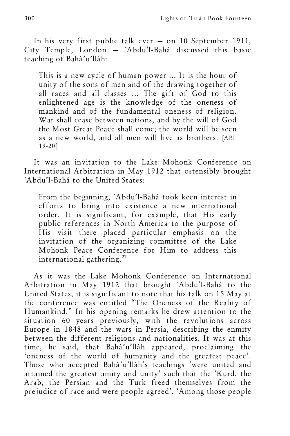In his very first public talk ever — on 10 September 1911, City Temple, London — `Abdu'l-Bahá discussed this basic teaching of Bahá'u'lláh:

This is a new cycle of human power ... It is the hour of unity of the sons of men and of the drawing together of all races and all classes ... The gift of God to this enlightened age is the knowledge of the oneness of mankind and of the fundamental oneness of religion. War shall cease between nations, and by the will of God the Most Great Peace shall come; the world will be seen as a new world, and all men will live as brothers. [ABL 19-20]

It was an invitation to the Lake Mohonk Conference on International Arbitration in May 1912 that ostensibly brought `Abdu'l-Bahá to the United States:

From the beginning, `Abdu'l-Bahá took keen interest in efforts to bring into existence a new international order. It is significant, for example, that His early public references in North America to the purpose of His visit there placed particular emphasis on the invitation of the organizing committee of the Lake Mohonk Peace Conference for Him to address this international gathering.<sup>27</sup>

As it was the Lake Mohonk Conference on International Arbitration in May 1912 that brought `Abdu'l-Bahá to the United States, it is significant to note that his talk on 15 May at the conference was entitled "The Oneness of the Reality of Humankind." In his opening remarks he drew attention to the situation 60 years previously, with the revolutions across Europe in 1848 and the wars in Persia, describing the enmity between the different religions and nationalities. It was at this time, he said, that Bahá'u'lláh appeared, proclaiming the 'oneness of the world of humanity and the greatest peace'. Those who accepted Bahá'u'lláh's teachings 'were united and attained the greatest amity and unity' such that the 'Kurd, the Arab, the Persian and the Turk freed themselves from the prejudice of race and were people agreed'. 'Among those people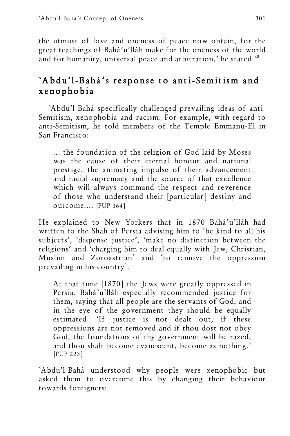the utmost of love and oneness of peace now obtain, for the great teachings of Bahá'u'lláh make for the oneness of the world and for humanity, universal peace and arbitration,' he stated.<sup>28</sup>

# `Abdu'l-Bahá's response to anti-Semitism and xenophobia

`Abdu'l-Bahá specifically challenged prevailing ideas of anti-Semitism, xenophobia and racism. For example, with regard to anti-Semitism, he told members of the Temple Emmanu-El in San Francisco:

... the foundation of the religion of God laid by Moses was the cause of their eternal honour and national prestige, the animating impulse of their advancement and racial supremacy and the source of that excellence which will always command the respect and reverence of those who understand their [particular] destiny and outcome.... [PUP 364]

He explained to New Yorkers that in 1870 Bahá'u'lláh had written to the Shah of Persia advising him to 'be kind to all his subjects', 'dispense justice', 'make no distinction between the religions' and 'charging him to deal equally with Jew, Christian, Muslim and Zoroastrian' and 'to remove the oppression prevailing in his country'.

At that time [1870] the Jews were greatly oppressed in Persia. Bahá'u'lláh especially recommended justice for them, saying that all people are the servants of God, and in the eye of the government they should be equally estimated. 'If justice is not dealt out, if these oppressions are not removed and if thou dost not obey God, the foundations of thy government will be razed, and thou shalt become evanescent, become as nothing.' [PUP 223]

`Abdu'l-Bahá understood why people were xenophobic but asked them to overcome this by changing their behaviour towards foreigners: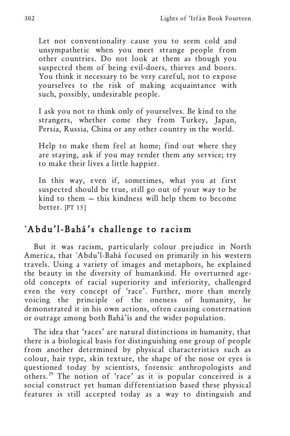Let not conventionality cause you to seem cold and unsympathetic when you meet strange people from other countries. Do not look at them as though you suspected them of being evil-doers, thieves and boors. You think it necessary to be very careful, not to expose yourselves to the risk of making acquaintance with such, possibly, undesirable people.

I ask you not to think only of yourselves. Be kind to the strangers, whether come they from Turkey, Japan, Persia, Russia, China or any other country in the world.

Help to make them feel at home; find out where they are staying, ask if you may render them any service; try to make their lives a little happier.

In this way, even if, sometimes, what you at first suspected should be true, still go out of your way to be kind to them — this kindness will help them to become better. [PT 15]

## `Abdu'l-Bahá's challenge to racism

But it was racism, particularly colour prejudice in North America, that `Abdu'l-Bahá focused on primarily in his western travels. Using a variety of images and metaphors, he explained the beauty in the diversity of humankind. He overturned ageold concepts of racial superiority and inferiority, challenged even the very concept of 'race'. Further, more than merely voicing the principle of the oneness of humanity, he demonstrated it in his own actions, often causing consternation or outrage among both Bahá'ís and the wider population.

The idea that 'races' are natural distinctions in humanity, that there is a biological basis for distinguishing one group of people from another determined by physical characteristics such as colour, hair type, skin texture, the shape of the nose or eyes is questioned today by scientists, forensic anthropologists and others.29 The notion of 'race' as it is popular conceived is a social construct yet human differentiation based these physical features is still accepted today as a way to distinguish and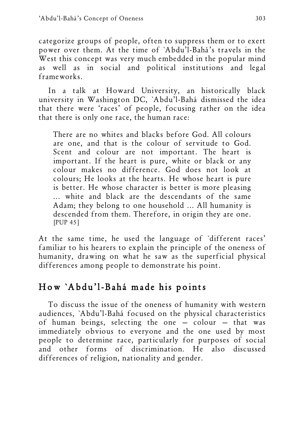categorize groups of people, often to suppress them or to exert power over them. At the time of `Abdu'l-Bahá's travels in the West this concept was very much embedded in the popular mind as well as in social and political institutions and legal frameworks.

In a talk at Howard University, an historically black university in Washington DC, `Abdu'l-Bahá dismissed the idea that there were 'races' of people, focusing rather on the idea that there is only one race, the human race:

There are no whites and blacks before God. All colours are one, and that is the colour of servitude to God. Scent and colour are not important. The heart is important. If the heart is pure, white or black or any colour makes no difference. God does not look at colours; He looks at the hearts. He whose heart is pure is better. He whose character is better is more pleasing ... white and black are the descendants of the same Adam; they belong to one household ... All humanity is descended from them. Therefore, in origin they are one. [PUP 45]

At the same time, he used the language of `different races' familiar to his hearers to explain the principle of the oneness of humanity, drawing on what he saw as the superficial physical differences among people to demonstrate his point.

# How `Abdu'l-Bahá made his points

To discuss the issue of the oneness of humanity with western audiences, `Abdu'l-Bahá focused on the physical characteristics of human beings, selecting the one — colour — that was immediately obvious to everyone and the one used by most people to determine race, particularly for purposes of social and other forms of discrimination. He also discussed differences of religion, nationality and gender.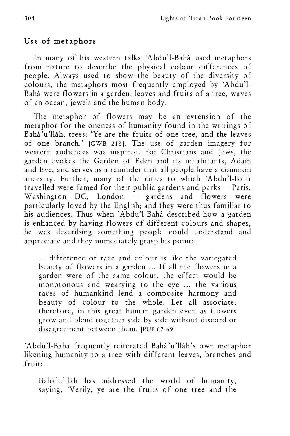### Use of metaphors

In many of his western talks `Abdu'l-Bahá used metaphors from nature to describe the physical colour differences of people. Always used to show the beauty of the diversity of colours, the metaphors most frequently employed by `Abdu'l-Bahá were flowers in a garden, leaves and fruits of a tree, waves of an ocean, jewels and the human body.

The metaphor of flowers may be an extension of the metaphor for the oneness of humanity found in the writings of Bahá'u'lláh, trees: 'Ye are the fruits of one tree, and the leaves of one branch.' [GWB 218]. The use of garden imagery for western audiences was inspired. For Christians and Jews, the garden evokes the Garden of Eden and its inhabitants, Adam and Eve, and serves as a reminder that all people have a common ancestry. Further, many of the cities to which `Abdu'l-Bahá travelled were famed for their public gardens and parks — Paris, Washington DC, London — gardens and flowers were particularly loved by the English; and they were thus familiar to his audiences. Thus when `Abdu'l-Bahá described how a garden is enhanced by having flowers of different colours and shapes, he was describing something people could understand and appreciate and they immediately grasp his point:

... difference of race and colour is like the variegated beauty of flowers in a garden ... If all the flowers in a garden were of the same colour, the effect would be monotonous and wearying to the eye ... the various races of humankind lend a composite harmony and beauty of colour to the whole. Let all associate, therefore, in this great human garden even as flowers grow and blend together side by side without discord or disagreement between them. [PUP 67-69]

`Abdu'l-Bahá frequently reiterated Bahá'u'lláh's own metaphor likening humanity to a tree with different leaves, branches and fruit:

Bahá'u'lláh has addressed the world of humanity, saying, 'Verily, ye are the fruits of one tree and the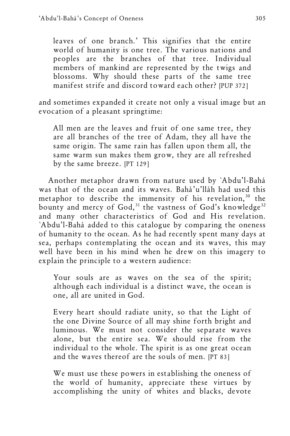leaves of one branch.' This signifies that the entire world of humanity is one tree. The various nations and peoples are the branches of that tree. Individual members of mankind are represented by the twigs and blossoms. Why should these parts of the same tree manifest strife and discord toward each other? [PUP 372]

and sometimes expanded it create not only a visual image but an evocation of a pleasant springtime:

All men are the leaves and fruit of one same tree, they are all branches of the tree of Adam, they all have the same origin. The same rain has fallen upon them all, the same warm sun makes them grow, they are all refreshed by the same breeze. [PT 129]

Another metaphor drawn from nature used by `Abdu'l-Bahá was that of the ocean and its waves. Bahá'u'lláh had used this metaphor to describe the immensity of his revelation,<sup>30</sup> the bounty and mercy of God,<sup>31</sup> the vastness of God's knowledge<sup>32</sup> and many other characteristics of God and His revelation. `Abdu'l-Bahá added to this catalogue by comparing the oneness of humanity to the ocean. As he had recently spent many days at sea, perhaps contemplating the ocean and its waves, this may well have been in his mind when he drew on this imagery to explain the principle to a western audience:

Your souls are as waves on the sea of the spirit; although each individual is a distinct wave, the ocean is one, all are united in God.

Every heart should radiate unity, so that the Light of the one Divine Source of all may shine forth bright and luminous. We must not consider the separate waves alone, but the entire sea. We should rise from the individual to the whole. The spirit is as one great ocean and the waves thereof are the souls of men. [PT 83]

We must use these powers in establishing the oneness of the world of humanity, appreciate these virtues by accomplishing the unity of whites and blacks, devote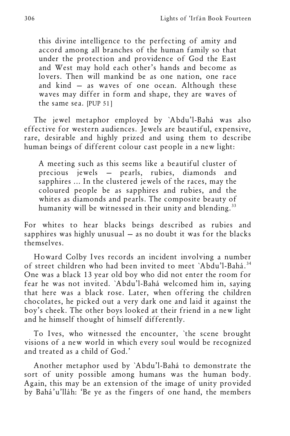this divine intelligence to the perfecting of amity and accord among all branches of the human family so that under the protection and providence of God the East and West may hold each other's hands and become as lovers. Then will mankind be as one nation, one race and kind — as waves of one ocean. Although these waves may differ in form and shape, they are waves of the same sea. [PUP 51]

The jewel metaphor employed by `Abdu'l-Bahá was also effective for western audiences. Jewels are beautiful, expensive, rare, desirable and highly prized and using them to describe human beings of different colour cast people in a new light:

A meeting such as this seems like a beautiful cluster of precious jewels — pearls, rubies, diamonds and sapphires ... In the clustered jewels of the races, may the coloured people be as sapphires and rubies, and the whites as diamonds and pearls. The composite beauty of humanity will be witnessed in their unity and blending.<sup>33</sup>

For whites to hear blacks beings described as rubies and sapphires was highly unusual  $-$  as no doubt it was for the blacks themselves.

Howard Colby Ives records an incident involving a number of street children who had been invited to meet `Abdu'l-Bahá.<sup>34</sup> One was a black 13 year old boy who did not enter the room for fear he was not invited. `Abdu'l-Bahá welcomed him in, saying that here was a black rose. Later, when offering the children chocolates, he picked out a very dark one and laid it against the boy's cheek. The other boys looked at their friend in a new light and he himself thought of himself differently.

To Ives, who witnessed the encounter, `the scene brought visions of a new world in which every soul would be recognized and treated as a child of God.'

Another metaphor used by `Abdu'l-Bahá to demonstrate the sort of unity possible among humans was the human body. Again, this may be an extension of the image of unity provided by Bahá'u'lláh: 'Be ye as the fingers of one hand, the members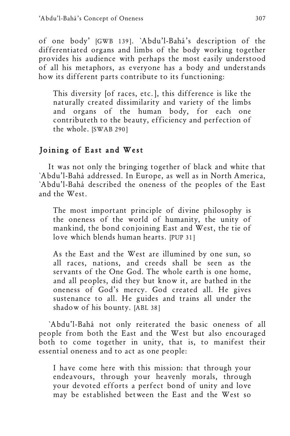of one body' [GWB 139]. `Abdu'l-Bahá's description of the differentiated organs and limbs of the body working together provides his audience with perhaps the most easily understood of all his metaphors, as everyone has a body and understands how its different parts contribute to its functioning:

This diversity [of races, etc.], this difference is like the naturally created dissimilarity and variety of the limbs and organs of the human body, for each one contributeth to the beauty, efficiency and perfection of the whole. [SWAB 290]

## Joining of East and West

It was not only the bringing together of black and white that `Abdu'l-Bahá addressed. In Europe, as well as in North America, `Abdu'l-Bahá described the oneness of the peoples of the East and the West.

The most important principle of divine philosophy is the oneness of the world of humanity, the unity of mankind, the bond conjoining East and West, the tie of love which blends human hearts. [PUP 31]

As the East and the West are illumined by one sun, so all races, nations, and creeds shall be seen as the servants of the One God. The whole earth is one home, and all peoples, did they but know it, are bathed in the oneness of God's mercy. God created all. He gives sustenance to all. He guides and trains all under the shadow of his bounty. [ABL 38]

`Abdu'l-Bahá not only reiterated the basic oneness of all people from both the East and the West but also encouraged both to come together in unity, that is, to manifest their essential oneness and to act as one people:

I have come here with this mission: that through your endeavours, through your heavenly morals, through your devoted efforts a perfect bond of unity and love may be established between the East and the West so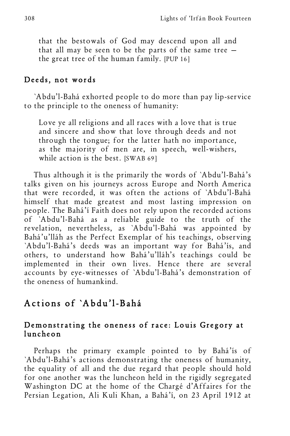that the bestowals of God may descend upon all and that all may be seen to be the parts of the same tree the great tree of the human family. [PUP 16]

#### Deeds, not words

`Abdu'l-Bahá exhorted people to do more than pay lip-service to the principle to the oneness of humanity:

Love ye all religions and all races with a love that is true and sincere and show that love through deeds and not through the tongue; for the latter hath no importance, as the majority of men are, in speech, well-wishers, while action is the best. [SWAB 69]

Thus although it is the primarily the words of `Abdu'l-Bahá's talks given on his journeys across Europe and North America that were recorded, it was often the actions of `Abdu'l-Bahá himself that made greatest and most lasting impression on people. The Bahá'í Faith does not rely upon the recorded actions of `Abdu'l-Bahá as a reliable guide to the truth of the revelation, nevertheless, as `Abdu'l-Bahá was appointed by Bahá'u'lláh as the Perfect Exemplar of his teachings, observing `Abdu'l-Bahá's deeds was an important way for Bahá'ís, and others, to understand how Bahá'u'lláh's teachings could be implemented in their own lives. Hence there are several accounts by eye-witnesses of `Abdu'l-Bahá's demonstration of the oneness of humankind.

## Actions of `Abdu'l-Bahá

#### Demonstrating the oneness of race: Louis Gregory at luncheon

Perhaps the primary example pointed to by Bahá'ís of `Abdu'l-Bahá's actions demonstrating the oneness of humanity, the equality of all and the due regard that people should hold for one another was the luncheon held in the rigidly segregated Washington DC at the home of the Chargé d'Affaires for the Persian Legation, Ali Kuli Khan, a Bahá'í, on 23 April 1912 at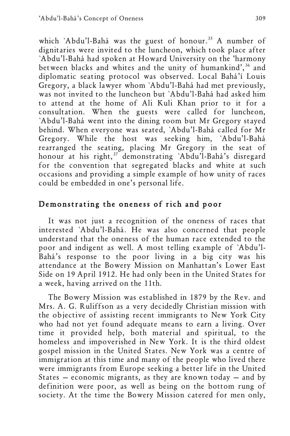which `Abdu'l-Bahá was the guest of honour.<sup>35</sup> A number of dignitaries were invited to the luncheon, which took place after `Abdu'l-Bahá had spoken at Howard University on the 'harmony between blacks and whites and the unity of humankind', <sup>36</sup> and diplomatic seating protocol was observed. Local Bahá'í Louis Gregory, a black lawyer whom `Abdu'l-Bahá had met previously, was not invited to the luncheon but `Abdu'l-Bahá had asked him to attend at the home of Ali Kuli Khan prior to it for a consultation. When the guests were called for luncheon, `Abdu'l-Bahá went into the dining room but Mr Gregory stayed behind. When everyone was seated, `Abdu'l-Bahá called for Mr Gregory. While the host was seeking him, `Abdu'l-Bahá rearranged the seating, placing Mr Gregory in the seat of honour at his right,<sup>37</sup> demonstrating `Abdu'l-Bahá's disregard for the convention that segregated blacks and white at such occasions and providing a simple example of how unity of races could be embedded in one's personal life.

## Demonstrating the oneness of rich and poor

It was not just a recognition of the oneness of races that interested `Abdu'l-Bahá. He was also concerned that people understand that the oneness of the human race extended to the poor and indigent as well. A most telling example of `Abdu'l-Bahá's response to the poor living in a big city was his attendance at the Bowery Mission on Manhattan's Lower East Side on 19 April 1912. He had only been in the United States for a week, having arrived on the 11th.

The Bowery Mission was established in 1879 by the Rev. and Mrs. A. G. Ruliffson as a very decidedly Christian mission with the objective of assisting recent immigrants to New York City who had not yet found adequate means to earn a living. Over time it provided help, both material and spiritual, to the homeless and impoverished in New York. It is the third oldest gospel mission in the United States. New York was a centre of immigration at this time and many of the people who lived there were immigrants from Europe seeking a better life in the United States — economic migrants, as they are known today — and by definition were poor, as well as being on the bottom rung of society. At the time the Bowery Mission catered for men only,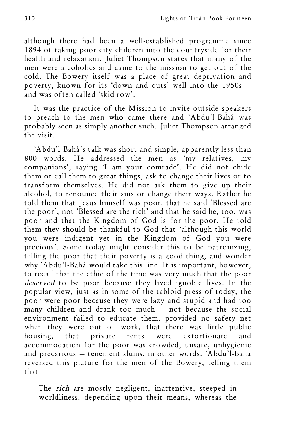although there had been a well-established programme since 1894 of taking poor city children into the countryside for their health and relaxation. Juliet Thompson states that many of the men were alcoholics and came to the mission to get out of the cold. The Bowery itself was a place of great deprivation and poverty, known for its 'down and outs' well into the 1950s and was often called 'skid row'.

It was the practice of the Mission to invite outside speakers to preach to the men who came there and `Abdu'l-Bahá was probably seen as simply another such. Juliet Thompson arranged the visit.

`Abdu'l-Bahá's talk was short and simple, apparently less than 800 words. He addressed the men as 'my relatives, my companions', saying 'I am your comrade'. He did not chide them or call them to great things, ask to change their lives or to transform themselves. He did not ask them to give up their alcohol, to renounce their sins or change their ways. Rather he told them that Jesus himself was poor, that he said 'Blessed are the poor', not 'Blessed are the rich' and that he said he, too, was poor and that the Kingdom of God is for the poor. He told them they should be thankful to God that 'although this world you were indigent yet in the Kingdom of God you were precious'. Some today might consider this to be patronizing, telling the poor that their poverty is a good thing, and wonder why `Abdu'l-Bahá would take this line. It is important, however, to recall that the ethic of the time was very much that the poor deserved to be poor because they lived ignoble lives. In the popular view, just as in some of the tabloid press of today, the poor were poor because they were lazy and stupid and had too many children and drank too much — not because the social environment failed to educate them, provided no safety net when they were out of work, that there was little public housing, that private rents were extortionate and accommodation for the poor was crowded, unsafe, unhygienic and precarious — tenement slums, in other words. `Abdu'l-Bahá reversed this picture for the men of the Bowery, telling them that

The rich are mostly negligent, inattentive, steeped in worldliness, depending upon their means, whereas the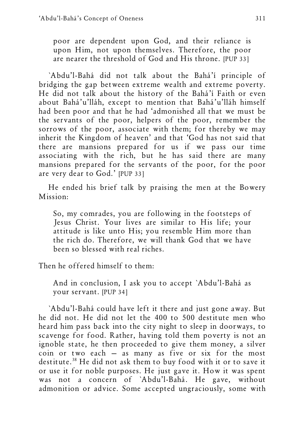poor are dependent upon God, and their reliance is upon Him, not upon themselves. Therefore, the poor are nearer the threshold of God and His throne. [PUP 33]

`Abdu'l-Bahá did not talk about the Bahá'í principle of bridging the gap between extreme wealth and extreme poverty. He did not talk about the history of the Bahá'í Faith or even about Bahá'u'lláh, except to mention that Bahá'u'lláh himself had been poor and that he had 'admonished all that we must be the servants of the poor, helpers of the poor, remember the sorrows of the poor, associate with them; for thereby we may inherit the Kingdom of heaven' and that 'God has not said that there are mansions prepared for us if we pass our time associating with the rich, but he has said there are many mansions prepared for the servants of the poor, for the poor are very dear to God.' [PUP 33]

He ended his brief talk by praising the men at the Bowery Mission:

So, my comrades, you are following in the footsteps of Jesus Christ. Your lives are similar to His life; your attitude is like unto His; you resemble Him more than the rich do. Therefore, we will thank God that we have been so blessed with real riches.

Then he offered himself to them:

And in conclusion, I ask you to accept `Abdu'l-Bahá as your servant. [PUP 34]

`Abdu'l-Bahá could have left it there and just gone away. But he did not. He did not let the 400 to 500 destitute men who heard him pass back into the city night to sleep in doorways, to scavenge for food. Rather, having told them poverty is not an ignoble state, he then proceeded to give them money, a silver coin or two each — as many as five or six for the most destitute.38 He did not ask them to buy food with it or to save it or use it for noble purposes. He just gave it. How it was spent was not a concern of `Abdu'l-Bahá. He gave, without admonition or advice. Some accepted ungraciously, some with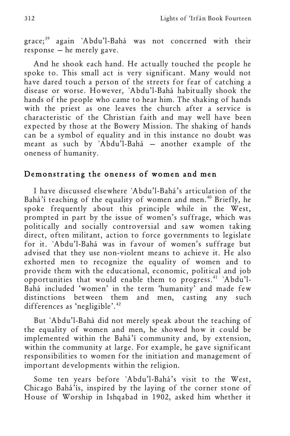grace;<sup>39</sup> again `Abdu'l-Bahá was not concerned with their response — he merely gave.

And he shook each hand. He actually touched the people he spoke to. This small act is very significant. Many would not have dared touch a person of the streets for fear of catching a disease or worse. However, `Abdu'l-Bahá habitually shook the hands of the people who came to hear him. The shaking of hands with the priest as one leaves the church after a service is characteristic of the Christian faith and may well have been expected by those at the Bowery Mission. The shaking of hands can be a symbol of equality and in this instance no doubt was meant as such by `Abdu'l-Bahá — another example of the oneness of humanity.

#### Demonstrating the oneness of women and men

I have discussed elsewhere `Abdu'l-Bahá's articulation of the Bahá'í teaching of the equality of women and men.<sup>40</sup> Briefly, he spoke frequently about this principle while in the West, prompted in part by the issue of women's suffrage, which was politically and socially controversial and saw women taking direct, often militant, action to force governments to legislate for it. `Abdu'l-Bahá was in favour of women's suffrage but advised that they use non-violent means to achieve it. He also exhorted men to recognize the equality of women and to provide them with the educational, economic, political and job opportunities that would enable them to progress.<sup>41</sup> `Abdu'l-Bahá included 'women' in the term 'humanity' and made few distinctions between them and men, casting any such differences as 'negligible'. 42

But `Abdu'l-Bahá did not merely speak about the teaching of the equality of women and men, he showed how it could be implemented within the Bahá'í community and, by extension, within the community at large. For example, he gave significant responsibilities to women for the initiation and management of important developments within the religion.

Some ten years before `Abdu'l-Bahá's visit to the West, Chicago Bahá'ís, inspired by the laying of the corner stone of House of Worship in Ishqabad in 1902, asked him whether it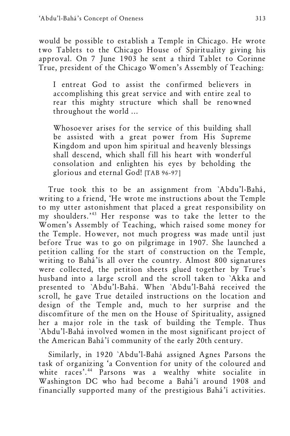would be possible to establish a Temple in Chicago. He wrote two Tablets to the Chicago House of Spirituality giving his approval. On 7 June 1903 he sent a third Tablet to Corinne True, president of the Chicago Women's Assembly of Teaching:

I entreat God to assist the confirmed believers in accomplishing this great service and with entire zeal to rear this mighty structure which shall be renowned throughout the world ...

Whosoever arises for the service of this building shall be assisted with a great power from His Supreme Kingdom and upon him spiritual and heavenly blessings shall descend, which shall fill his heart with wonderful consolation and enlighten his eyes by beholding the glorious and eternal God! [TAB 96-97]

True took this to be an assignment from `Abdu'l-Bahá, writing to a friend, 'He wrote me instructions about the Temple to my utter astonishment that placed a great responsibility on my shoulders.' <sup>43</sup> Her response was to take the letter to the Women's Assembly of Teaching, which raised some money for the Temple. However, not much progress was made until just before True was to go on pilgrimage in 1907. She launched a petition calling for the start of construction on the Temple, writing to Bahá'ís all over the country. Almost 800 signatures were collected, the petition sheets glued together by True's husband into a large scroll and the scroll taken to `Akka and presented to `Abdu'l-Bahá. When `Abdu'l-Bahá received the scroll, he gave True detailed instructions on the location and design of the Temple and, much to her surprise and the discomfiture of the men on the House of Spirituality, assigned her a major role in the task of building the Temple. Thus `Abdu'l-Bahá involved women in the most significant project of the American Bahá'í community of the early 20th century.

Similarly, in 1920 `Abdu'l-Bahá assigned Agnes Parsons the task of organizing 'a Convention for unity of the coloured and white races'. <sup>44</sup> Parsons was a wealthy white socialite in Washington DC who had become a Bahá'í around 1908 and financially supported many of the prestigious Bahá'í activities.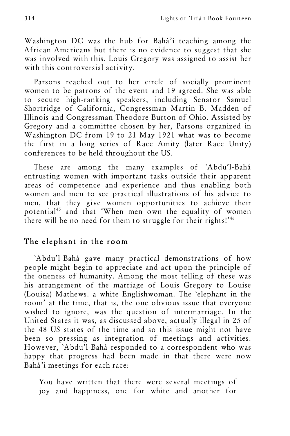Washington DC was the hub for Bahá'í teaching among the African Americans but there is no evidence to suggest that she was involved with this. Louis Gregory was assigned to assist her with this controversial activity.

Parsons reached out to her circle of socially prominent women to be patrons of the event and 19 agreed. She was able to secure high-ranking speakers, including Senator Samuel Shortridge of California, Congressman Martin B. Madden of Illinois and Congressman Theodore Burton of Ohio. Assisted by Gregory and a committee chosen by her, Parsons organized in Washington DC from 19 to 21 May 1921 what was to become the first in a long series of Race Amity (later Race Unity) conferences to be held throughout the US.

These are among the many examples of `Abdu'l-Bahá entrusting women with important tasks outside their apparent areas of competence and experience and thus enabling both women and men to see practical illustrations of his advice to men, that they give women opportunities to achieve their potential<sup>45</sup> and that 'When men own the equality of women there will be no need for them to struggle for their rights!' 46

## The elephant in the room

`Abdu'l-Bahá gave many practical demonstrations of how people might begin to appreciate and act upon the principle of the oneness of humanity. Among the most telling of these was his arrangement of the marriage of Louis Gregory to Louise (Louisa) Mathews. a white Englishwoman. The 'elephant in the room' at the time, that is, the one obvious issue that everyone wished to ignore, was the question of intermarriage. In the United States it was, as discussed above, actually illegal in 25 of the 48 US states of the time and so this issue might not have been so pressing as integration of meetings and activities. However, `Abdu'l-Bahá responded to a correspondent who was happy that progress had been made in that there were now Bahá'í meetings for each race:

You have written that there were several meetings of joy and happiness, one for white and another for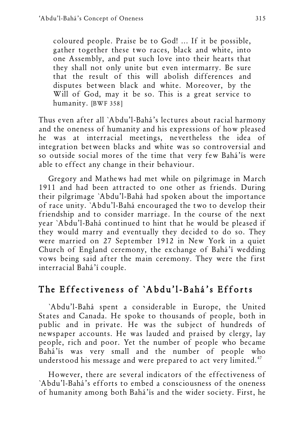coloured people. Praise be to God! ... If it be possible, gather together these two races, black and white, into one Assembly, and put such love into their hearts that they shall not only unite but even intermarry. Be sure that the result of this will abolish differences and disputes between black and white. Moreover, by the Will of God, may it be so. This is a great service to humanity. [BWF 358]

Thus even after all `Abdu'l-Bahá's lectures about racial harmony and the oneness of humanity and his expressions of how pleased he was at interracial meetings, nevertheless the idea of integration between blacks and white was so controversial and so outside social mores of the time that very few Bahá'ís were able to effect any change in their behaviour.

Gregory and Mathews had met while on pilgrimage in March 1911 and had been attracted to one other as friends. During their pilgrimage `Abdu'l-Bahá had spoken about the importance of race unity. `Abdu'l-Bahá encouraged the two to develop their friendship and to consider marriage. In the course of the next year `Abdu'l-Bahá continued to hint that he would be pleased if they would marry and eventually they decided to do so. They were married on 27 September 1912 in New York in a quiet Church of England ceremony, the exchange of Bahá'í wedding vows being said after the main ceremony. They were the first interracial Bahá'í couple.

# The Effectiveness of `Abdu'l-Bahá's Efforts

`Abdu'l-Bahá spent a considerable in Europe, the United States and Canada. He spoke to thousands of people, both in public and in private. He was the subject of hundreds of newspaper accounts. He was lauded and praised by clergy, lay people, rich and poor. Yet the number of people who became Bahá'ís was very small and the number of people who understood his message and were prepared to act very limited.<sup>47</sup>

However, there are several indicators of the effectiveness of `Abdu'l-Bahá's efforts to embed a consciousness of the oneness of humanity among both Bahá'ís and the wider society. First, he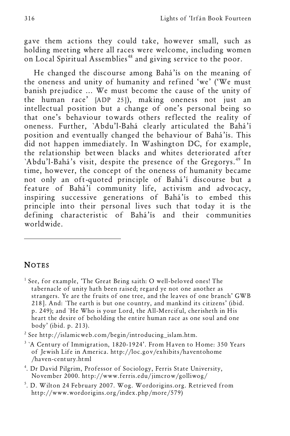gave them actions they could take, however small, such as holding meeting where all races were welcome, including women on Local Spiritual Assemblies<sup>48</sup> and giving service to the poor.

He changed the discourse among Bahá'ís on the meaning of the oneness and unity of humanity and refined 'we' ('We must banish prejudice ... We must become the cause of the unity of the human race' [ADP 25]), making oneness not just an intellectual position but a change of one's personal being so that one's behaviour towards others reflected the reality of oneness. Further, `Abdu'l-Bahá clearly articulated the Bahá'í position and eventually changed the behaviour of Bahá'ís. This did not happen immediately. In Washington DC, for example, the relationship between blacks and whites deteriorated after `Abdu'l-Bahá's visit, despite the presence of the Gregorys.<sup>49</sup> In time, however, the concept of the oneness of humanity became not only an oft-quoted principle of Bahá'í discourse but a feature of Bahá'í community life, activism and advocacy, inspiring successive generations of Bahá'ís to embed this principle into their personal lives such that today it is the defining characteristic of Bahá'ís and their communities worldwide.

## **NOTES**

l

 $<sup>1</sup>$  See, for example, 'The Great Being saith: O well-beloved ones! The</sup> tabernacle of unity hath been raised; regard ye not one another as strangers. Ye are the fruits of one tree, and the leaves of one branch' GWB 218]. And: `The earth is but one country, and mankind its citizens' (ibid. p. 249); and `He Who is your Lord, the All-Merciful, cherisheth in His heart the desire of beholding the entire human race as one soul and one body' (ibid. p. 213).

<sup>2</sup> See http://islamicweb.com/begin/introducing\_islam.htm.

- <sup>3</sup> `A Century of Immigration, 1820-1924'. From Haven to Home: 350 Years of Jewish Life in America. http://loc.gov/exhibits/haventohome /haven-century.html
- 4 . Dr David Pilgrim, Professor of Sociology, Ferris State University, November 2000. http://www.ferris.edu/jimcrow/golliwog/
- 5 . D. Wilton 24 February 2007. Wog. Wordorigins.org. Retrieved from http://www.wordorigins.org/index.php/more/579)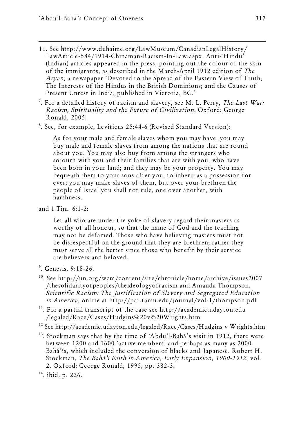- 11. See http://www.duhaime.org/LawMuseum/CanadianLegalHistory/ LawArticle-584/1914-Chinaman-Racism-In-Law.aspx. Anti-`Hindu' (Indian) articles appeared in the press, pointing out the colour of the skin of the immigrants, as described in the March-April 1912 edition of The Aryan, a newspaper `Devoted to the Spread of the Eastern View of Truth; The Interests of the Hindus in the British Dominions; and the Causes of Present Unrest in India, published in Victoria, BC.'
- <sup>7</sup>. For a detailed history of racism and slavery, see M. L. Perry, *The Last War:* Racism, Spirituality and the Future of Civilization. Oxford: George Ronald, 2005.
- 8 . See, for example, Leviticus 25:44-6 (Revised Standard Version):

As for your male and female slaves whom you may have: you may buy male and female slaves from among the nations that are round about you. You may also buy from among the strangers who sojourn with you and their families that are with you, who have been born in your land; and they may be your property. You may bequeath them to your sons after you, to inherit as a possession for ever; you may make slaves of them, but over your brethren the people of Israel you shall not rule, one over another, with harshness.

and 1 Tim. 6:1-2:

Let all who are under the yoke of slavery regard their masters as worthy of all honour, so that the name of God and the teaching may not be defamed. Those who have believing masters must not be disrespectful on the ground that they are brethren; rather they must serve all the better since those who benefit by their service are believers and beloved.

- 9 . Genesis. 9:18-26.
- 10. See http://un.org/wcm/content/site/chronicle/home/archive/issues2007 /thesolidarityofpeoples/theideologyofracism and Amanda Thompson, Scientific Racism: The Justification of Slavery and Segregated Education in America, online at http://pat.tamu.edu/journal/vol-1/thompson.pdf
- <sup>11</sup>. For a partial transcript of the case see http://academic.udayton.edu /legaled/Race/Cases/Hudgins%20v%20Wrights.htm
- $12$  See http://academic.udayton.edu/legaled/Race/Cases/Hudgins v Wrights.htm
- $13.$  Stockman says that by the time of `Abdu'l-Bahá's visit in 1912, there were between 1200 and 1600 `active members' and perhaps as many as 2000 Bahá'ís, which included the conversion of blacks and Japanese. Robert H. Stockman, The Bahá'í Faith in America, Early Expansion, 1900-1912, vol. 2. Oxford: George Ronald, 1995, pp. 382-3.

<sup>&</sup>lt;sup>14</sup>. ibid. p. 226.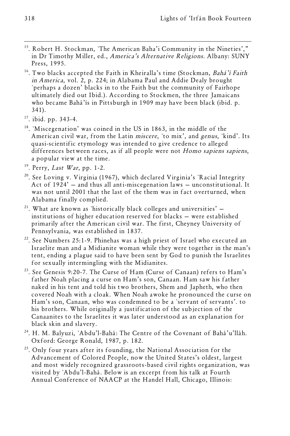- <sup>15</sup>. Robert H. Stockman, 'The American Baha'i Community in the Nineties'," in Dr Timothy Miller, ed., America's Alternative Religions. Albany: SUNY Press, 1995.
- <sup>16</sup>. Two blacks accepted the Faith in Kheiralla's time (Stockman, Bahá'í Faith in America, vol. 2, p. 224; in Alabama Paul and Addie Dealy brought `perhaps a dozen' blacks in to the Faith but the community of Fairhope ultimately died out Ibid.). According to Stockmen, the three Jamaicans who became Bahá'ís in Pittsburgh in 1909 may have been black (ibid. p. 341).
- 17. ibid. pp. 343-4.
- <sup>18</sup>. `Miscegenation' was coined in the US in 1863, in the middle of the American civil war, from the Latin miscere, `to mix', and genus, `kind'. Its quasi-scientific etymology was intended to give credence to alleged differences between races, as if all people were not Homo sapiens sapiens, a popular view at the time.
- $19.$  Perry, Last War, pp. 1-2.
- <sup>20</sup>. See Loving v. Virginia (1967), which declared Virginia's `Racial Integrity Act of 1924' — and thus all anti-miscegenation laws — unconstitutional. It was not until 2001 that the last of the them was in fact overturned, when
- Alabama finally complied.<br><sup>21</sup>. What are known as `historically black colleges and universities'  $$ institutions of higher education reserved for blacks — were established primarily after the American civil war. The first, Cheyney University of Pennsylvania, was established in 1837.
- $22$ . See Numbers 25:1-9. Phinehas was a high priest of Israel who executed an Israelite man and a Midianite woman while they were together in the man's tent, ending a plague said to have been sent by God to punish the Israelites for sexually intermingling with the Midianites.
- $^{23}$ . See Genesis 9:20-7. The Curse of Ham (Curse of Canaan) refers to Ham's father Noah placing a curse on Ham's son, Canaan. Ham saw his father naked in his tent and told his two brothers, Shem and Japheth, who then covered Noah with a cloak. When Noah awoke he pronounced the curse on Ham's son, Canaan, who was condemned to be a `servant of servants'. to his brothers. While originally a justification of the subjection of the Canaanites to the Israelites it was later understood as an explanation for black skin and slavery.
- <sup>24</sup>. H. M. Balyuzi, `Abdu'l-Bahá: The Centre of the Covenant of Bahá'u'lláh. Oxford: George Ronald, 1987, p. 182.
- $^{25}$ . Only four years after its founding, the National Association for the Advancement of Colored People, now the United States's oldest, largest and most widely recognized grassroots-based civil rights organization, was visited by `Abdu'l-Bahá. Below is an excerpt from his talk at Fourth Annual Conference of NAACP at the Handel Hall, Chicago, Illinois: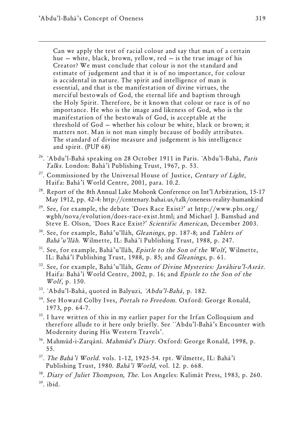Can we apply the test of racial colour and say that man of a certain hue — white, black, brown, yellow, red — is the true image of his Creator? We must conclude that colour is not the standard and estimate of judgement and that it is of no importance, for colour is accidental in nature. The spirit and intelligence of man is essential, and that is the manifestation of divine virtues, the merciful bestowals of God, the eternal life and baptism through the Holy Spirit. Therefore, be it known that colour or race is of no importance. He who is the image and likeness of God, who is the manifestation of the bestowals of God, is acceptable at the threshold of God — whether his colour be white, black or brown; it matters not. Man is not man simply because of bodily attributes. The standard of divine measure and judgement is his intelligence and spirit. (PUP 68)

- <sup>26</sup>. `Abdu'l-Bahá speaking on 28 October 1911 in Paris. `Abdu'l-Bahá, Paris Talks. London: Bahá'í Publishing Trust, 1967, p. 53.
- $^{27}$ . Commissioned by the Universal House of Justice, Century of Light, Haifa: Bahá'í World Centre, 2001, para. 10.2.
- <sup>28</sup>. Report of the 8th Annual Lake Mohonk Conference on Int'l Arbitration, 15-17 May 1912, pp. 42-4: http://centenary.bahai.us/talk/oneness-reality-humankind
- <sup>29</sup>. See, for example, the debate `Does Race Exist?' at http://www.pbs.org/ wgbh/nova/evolution/does-race-exist.html; and Michael J. Bamshad and Steve E. Olson, `Does Race Exist?' Scientific American, December 2003.
- <sup>30</sup>. See, for example, Bahá'u'lláh, Gleanings, pp. 187-8; and Tablets of Bahá'u'lláh. Wilmette, IL: Bahá'í Publishing Trust, 1988, p. 247.
- $31.$  See, for example, Bahá'u'lláh, Epistle to the Son of the Wolf, Wilmette, IL: Bahá'í Publishing Trust, 1988, p. 85; and Gleanings, p. 61.
- <sup>32</sup>. See, for example, Bahá'u'lláh, Gems of Divine Mysteries: Javáhiru'l-Asrár. Haifa: Bahá'í World Centre, 2002, p. 16; and Epistle to the Son of the Wolf, p. 150.
- <sup>33</sup>. `Abdu'l-Bahá, quoted in Balyuzi, `Abdu'l-Bahá, p. 182.
- <sup>34</sup>. See Howard Colby Ives, *Portals to Freedom*. Oxford: George Ronald, 1973, pp. 64-7.
- <sup>35</sup>. I have written of this in my earlier paper for the Irfan Colloquium and therefore allude to it here only briefly. See ``Abdu'l-Bahá's Encounter with Modernity during His Western Travels'.
- <sup>36</sup>. Mahmúd-i-Zarqání. Mahmúd's Diary. Oxford: George Ronald, 1998, p. 55.
- <sup>37</sup>. The Bahá'í World. vols. 1-12, 1925-54. rpt. Wilmette, IL: Bahá'í Publishing Trust, 1980. Bahá'í World, vol. 12. p. 668.
- <sup>38</sup>. Diary of Juliet Thompson, The. Los Angeles: Kalimát Press, 1983, p. 260.
- $39.$  ibid.